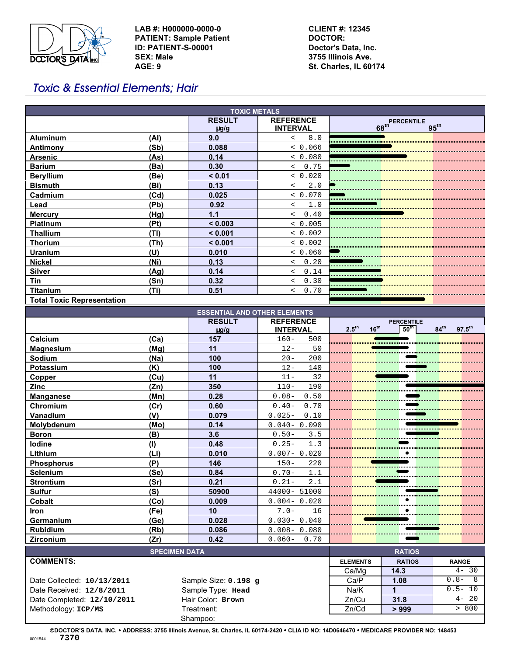

**LAB #: H000000-0000-0 PATIENT: Sample Patient ID: PATIENT-S-00001 SEX: Male AGE: 9**

**CLIENT #: 12345 DOCTOR: Doctor's Data, Inc. 3755 Illinois Ave. St. Charles, IL 60174**

# Toxic & Essential Elements; Hair

| <b>TOXIC METALS</b>                 |                            |                                     |                                                                                                                   |  |  |  |  |  |
|-------------------------------------|----------------------------|-------------------------------------|-------------------------------------------------------------------------------------------------------------------|--|--|--|--|--|
|                                     | <b>RESULT</b><br>$\mu$ g/g | <b>REFERENCE</b><br><b>INTERVAL</b> | <b>PERCENTILE</b><br>68 <sup>th</sup><br>$95^{\text{th}}$                                                         |  |  |  |  |  |
| (Al)<br><b>Aluminum</b>             | 9.0                        | 8.0<br>$\overline{\phantom{a}}$     |                                                                                                                   |  |  |  |  |  |
| Antimony<br>(Sb)                    | 0.088                      | < 0.066                             |                                                                                                                   |  |  |  |  |  |
| (As)<br><b>Arsenic</b>              | 0.14                       | < 0.080                             |                                                                                                                   |  |  |  |  |  |
| <b>Barium</b><br>(Ba)               | 0.30                       | 0.75<br>$\lt$                       |                                                                                                                   |  |  |  |  |  |
| <b>Beryllium</b><br>(Be)            | < 0.01                     | < 0.020                             |                                                                                                                   |  |  |  |  |  |
| (Bi)<br><b>Bismuth</b>              | 0.13                       | 2.0<br>$\overline{a}$               |                                                                                                                   |  |  |  |  |  |
| Cadmium<br>(Cd)                     | 0.025                      | & 0.070                             |                                                                                                                   |  |  |  |  |  |
| (Pb)<br>Lead                        | 0.92                       | 1.0<br>$\overline{\phantom{a}}$     |                                                                                                                   |  |  |  |  |  |
| (Hg)<br><b>Mercury</b>              | 1.1                        | 0.40<br>$\lt$                       |                                                                                                                   |  |  |  |  |  |
| <b>Platinum</b><br>(Pt)             | < 0.003                    | < 0.005                             |                                                                                                                   |  |  |  |  |  |
| Thallium<br>(TI)                    | < 0.001                    | & 0.002                             |                                                                                                                   |  |  |  |  |  |
| <b>Thorium</b><br>(Th)              | < 0.001                    | < 0.002                             |                                                                                                                   |  |  |  |  |  |
| Uranium<br>(U)                      | 0.010                      | < 0.060                             |                                                                                                                   |  |  |  |  |  |
| <b>Nickel</b><br>(Ni)               | 0.13                       | 0.20<br>$\overline{\phantom{a}}$    |                                                                                                                   |  |  |  |  |  |
| <b>Silver</b><br>(Ag)               | 0.14                       | 0.14<br>$\overline{\phantom{a}}$    |                                                                                                                   |  |  |  |  |  |
| <b>Tin</b><br>(Sn)                  | 0.32                       | 0.30<br>$\overline{\phantom{a}}$    |                                                                                                                   |  |  |  |  |  |
| <b>Titanium</b><br>(Ti)             | 0.51                       | 0.70<br>$\overline{\phantom{a}}$    |                                                                                                                   |  |  |  |  |  |
| <b>Total Toxic Representation</b>   |                            |                                     |                                                                                                                   |  |  |  |  |  |
| <b>ESSENTIAL AND OTHER ELEMENTS</b> |                            |                                     |                                                                                                                   |  |  |  |  |  |
|                                     | <b>RESULT</b><br>$u$ a/a   | <b>REFERENCE</b><br><b>INTFRVAI</b> | <b>PERCENTILE</b><br>2.5 <sup>th</sup><br>16 <sup>th</sup><br>50 <sup>th</sup><br>$97.5^{th}$<br>$84^{\text{th}}$ |  |  |  |  |  |

|                          | <b>RESULT</b> | <b>REFERENCE</b>  | <b>PERCENTILE</b> |           |                  |                  |             |
|--------------------------|---------------|-------------------|-------------------|-----------|------------------|------------------|-------------|
|                          | $\mu$ g/g     | <b>INTERVAL</b>   | $2.5^{\text{th}}$ | $16^{th}$ | $50^{\text{th}}$ | $84^{\text{th}}$ | $97.5^{th}$ |
| Calcium<br>(Ca)          | 157           | $160 -$<br>500    |                   |           |                  |                  |             |
| (Mq)<br><u>Magnesium</u> | 11            | $12 -$<br>50      |                   |           |                  |                  |             |
| <b>Sodium</b><br>(Na)    | 100           | 200<br>$20 -$     |                   |           |                  |                  |             |
| Potassium<br>(K)         | 100           | $12 -$<br>140     |                   |           |                  |                  |             |
| (Cu)<br>Copper           | 11            | 32<br>$11 -$      |                   |           |                  |                  |             |
| <b>Zinc</b><br>(Zn)      | 350           | $110-$<br>190     |                   |           |                  |                  |             |
| (Mn)<br><b>Manganese</b> | 0.28          | $0.08-$<br>0.50   |                   |           |                  |                  |             |
| (Cr)<br>Chromium         | 0.60          | $0.40-$<br>0.70   |                   |           |                  |                  |             |
| Vanadium<br>(V)          | 0.079         | $0.025 -$<br>0.10 |                   |           |                  |                  |             |
| (Mo)<br>Molybdenum       | 0.14          | $0.040 - 0.090$   |                   |           |                  |                  |             |
| (B)<br><b>Boron</b>      | 3.6           | $0.50 -$<br>3.5   |                   |           |                  |                  |             |
| (1)<br><b>lodine</b>     | 0.48          | $0.25 -$<br>1.3   |                   |           |                  |                  |             |
| Lithium<br>(Li)          | 0.010         | $0.007 - 0.020$   |                   |           |                  |                  |             |
| (P)<br><b>Phosphorus</b> | 146           | $150 -$<br>220    |                   |           |                  |                  |             |
| (Se)<br><b>Selenium</b>  | 0.84          | $0.70 -$<br>1.1   |                   |           |                  |                  |             |
| (Sr)<br><b>Strontium</b> | 0.21          | $0.21 -$<br>2.1   |                   |           |                  |                  |             |
| Sulfur<br>(S)            | 50900         | 44000- 51000      |                   |           |                  |                  |             |
| Cobalt<br>(Co)           | 0.009         | $0.004 - 0.020$   |                   |           |                  |                  |             |
| (Fe)<br><b>Iron</b>      | 10            | $7.0-$<br>16      |                   |           |                  |                  |             |
| (Ge)<br>Germanium        | 0.028         | $0.030 - 0.040$   |                   |           |                  |                  |             |
| <b>Rubidium</b><br>(Rb)  | 0.086         | $0.008 - 0.080$   |                   |           |                  |                  |             |
| (Zr)<br><b>Zirconium</b> | 0.42          | $0.060 - 0.70$    |                   |           |                  |                  |             |

| <b>SPECIMEN DATA</b>       |                      | <b>RATIOS</b>   |               |              |  |
|----------------------------|----------------------|-----------------|---------------|--------------|--|
| <b>COMMENTS:</b>           |                      | <b>ELEMENTS</b> | <b>RATIOS</b> | <b>RANGE</b> |  |
|                            |                      | Ca/Mq           | 14.3          | $4 - 30$     |  |
| Date Collected: 10/13/2011 | Sample Size: 0.198 g | Ca/P            | 1.08          | $0.8 -$<br>8 |  |
| Date Received: 12/8/2011   | Sample Type: Head    | Na/K            |               | $0.5 - 10$   |  |
| Date Completed: 12/10/2011 | Hair Color: Brown    | Zn/Cu           | 31.8          | $4 - 20$     |  |
| Methodology: ICP/MS        | Treatment:           | Zn/Cd           | >999          | > 800        |  |
|                            | Shampoo:             |                 |               |              |  |

**©DOCTOR'S DATA, INC.** ! **ADDRESS: 3755 Illinois Avenue, St. Charles, IL 60174-2420** ! **CLIA ID NO: 14D0646470** ! **MEDICARE PROVIDER NO: 148453** <sup>0001544</sup> **7370**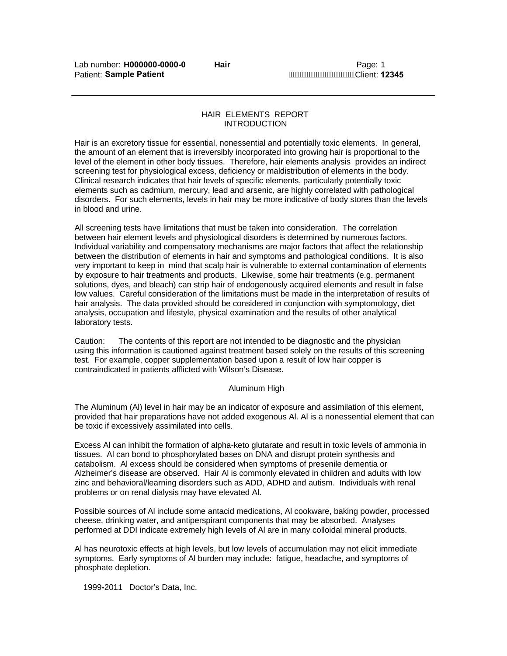## HAIR ELEMENTS REPORT INTRODUCTION

Hair is an excretory tissue for essential, nonessential and potentially toxic elements. In general, the amount of an element that is irreversibly incorporated into growing hair is proportional to the level of the element in other body tissues. Therefore, hair elements analysis provides an indirect screening test for physiological excess, deficiency or maldistribution of elements in the body. Clinical research indicates that hair levels of specific elements, particularly potentially toxic elements such as cadmium, mercury, lead and arsenic, are highly correlated with pathological disorders. For such elements, levels in hair may be more indicative of body stores than the levels in blood and urine.

All screening tests have limitations that must be taken into consideration. The correlation between hair element levels and physiological disorders is determined by numerous factors. Individual variability and compensatory mechanisms are major factors that affect the relationship between the distribution of elements in hair and symptoms and pathological conditions. It is also very important to keep in mind that scalp hair is vulnerable to external contamination of elements by exposure to hair treatments and products. Likewise, some hair treatments (e.g. permanent solutions, dyes, and bleach) can strip hair of endogenously acquired elements and result in false low values. Careful consideration of the limitations must be made in the interpretation of results of hair analysis. The data provided should be considered in conjunction with symptomology, diet analysis, occupation and lifestyle, physical examination and the results of other analytical laboratory tests.

Caution: The contents of this report are not intended to be diagnostic and the physician using this information is cautioned against treatment based solely on the results of this screening test. For example, copper supplementation based upon a result of low hair copper is contraindicated in patients afflicted with Wilson's Disease.

## Aluminum High

The Aluminum (Al) level in hair may be an indicator of exposure and assimilation of this element, provided that hair preparations have not added exogenous Al. Al is a nonessential element that can be toxic if excessively assimilated into cells.

Excess Al can inhibit the formation of alpha-keto glutarate and result in toxic levels of ammonia in tissues. Al can bond to phosphorylated bases on DNA and disrupt protein synthesis and catabolism. Al excess should be considered when symptoms of presenile dementia or Alzheimer's disease are observed. Hair Al is commonly elevated in children and adults with low zinc and behavioral/learning disorders such as ADD, ADHD and autism. Individuals with renal problems or on renal dialysis may have elevated Al.

Possible sources of Al include some antacid medications, Al cookware, baking powder, processed cheese, drinking water, and antiperspirant components that may be absorbed. Analyses performed at DDI indicate extremely high levels of Al are in many colloidal mineral products.

Al has neurotoxic effects at high levels, but low levels of accumulation may not elicit immediate symptoms. Early symptoms of Al burden may include: fatigue, headache, and symptoms of phosphate depletion.

1999**-**2011 Doctor's Data, Inc.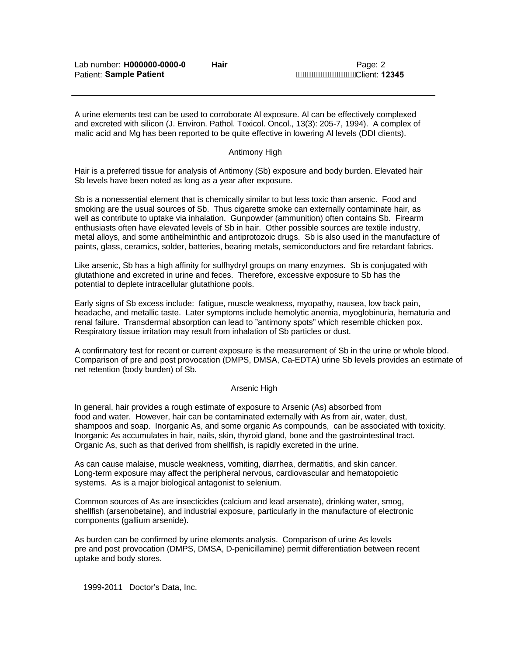A urine elements test can be used to corroborate Al exposure. Al can be effectively complexed and excreted with silicon (J. Environ. Pathol. Toxicol. Oncol., 13(3): 205-7, 1994). A complex of malic acid and Mg has been reported to be quite effective in lowering Al levels (DDI clients).

## Antimony High

Hair is a preferred tissue for analysis of Antimony (Sb) exposure and body burden. Elevated hair Sb levels have been noted as long as a year after exposure.

Sb is a nonessential element that is chemically similar to but less toxic than arsenic. Food and smoking are the usual sources of Sb. Thus cigarette smoke can externally contaminate hair, as well as contribute to uptake via inhalation. Gunpowder (ammunition) often contains Sb. Firearm enthusiasts often have elevated levels of Sb in hair. Other possible sources are textile industry, metal alloys, and some antihelminthic and antiprotozoic drugs. Sb is also used in the manufacture of paints, glass, ceramics, solder, batteries, bearing metals, semiconductors and fire retardant fabrics.

Like arsenic, Sb has a high affinity for sulfhydryl groups on many enzymes. Sb is conjugated with glutathione and excreted in urine and feces. Therefore, excessive exposure to Sb has the potential to deplete intracellular glutathione pools.

Early signs of Sb excess include: fatigue, muscle weakness, myopathy, nausea, low back pain, headache, and metallic taste. Later symptoms include hemolytic anemia, myoglobinuria, hematuria and renal failure. Transdermal absorption can lead to "antimony spots" which resemble chicken pox. Respiratory tissue irritation may result from inhalation of Sb particles or dust.

A confirmatory test for recent or current exposure is the measurement of Sb in the urine or whole blood. Comparison of pre and post provocation (DMPS, DMSA, Ca-EDTA) urine Sb levels provides an estimate of net retention (body burden) of Sb.

## Arsenic High

In general, hair provides a rough estimate of exposure to Arsenic (As) absorbed from food and water. However, hair can be contaminated externally with As from air, water, dust, shampoos and soap. Inorganic As, and some organic As compounds, can be associated with toxicity. Inorganic As accumulates in hair, nails, skin, thyroid gland, bone and the gastrointestinal tract. Organic As, such as that derived from shellfish, is rapidly excreted in the urine.

As can cause malaise, muscle weakness, vomiting, diarrhea, dermatitis, and skin cancer. Long-term exposure may affect the peripheral nervous, cardiovascular and hematopoietic systems. As is a major biological antagonist to selenium.

Common sources of As are insecticides (calcium and lead arsenate), drinking water, smog, shellfish (arsenobetaine), and industrial exposure, particularly in the manufacture of electronic components (gallium arsenide).

As burden can be confirmed by urine elements analysis. Comparison of urine As levels pre and post provocation (DMPS, DMSA, D-penicillamine) permit differentiation between recent uptake and body stores.

1999**-**2011 Doctor's Data, Inc.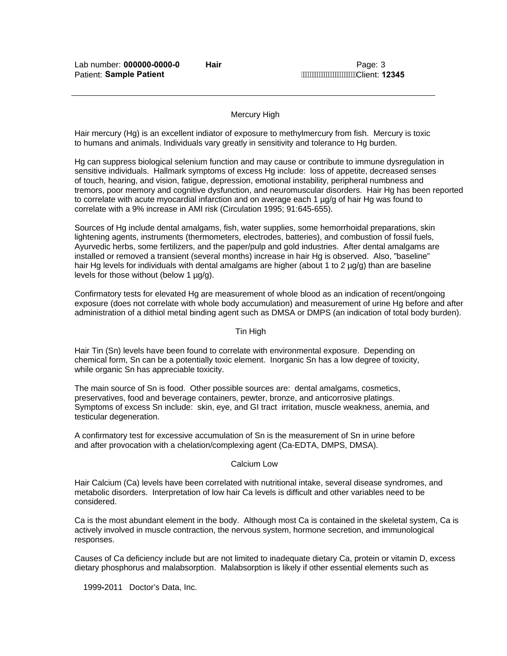## Mercury High

Hair mercury (Hg) is an excellent indiator of exposure to methylmercury from fish. Mercury is toxic to humans and animals. Individuals vary greatly in sensitivity and tolerance to Hg burden.

Hg can suppress biological selenium function and may cause or contribute to immune dysregulation in sensitive individuals. Hallmark symptoms of excess Hg include: loss of appetite, decreased senses of touch, hearing, and vision, fatigue, depression, emotional instability, peripheral numbness and tremors, poor memory and cognitive dysfunction, and neuromuscular disorders. Hair Hg has been reported to correlate with acute myocardial infarction and on average each 1 µg/g of hair Hg was found to correlate with a 9% increase in AMI risk (Circulation 1995; 91:645-655).

Sources of Hg include dental amalgams, fish, water supplies, some hemorrhoidal preparations, skin lightening agents, instruments (thermometers, electrodes, batteries), and combustion of fossil fuels, Ayurvedic herbs, some fertilizers, and the paper/pulp and gold industries. After dental amalgams are installed or removed a transient (several months) increase in hair Hg is observed. Also, "baseline" hair Hg levels for individuals with dental amalgams are higher (about 1 to 2  $\mu q/q$ ) than are baseline levels for those without (below 1 µg/g).

Confirmatory tests for elevated Hg are measurement of whole blood as an indication of recent/ongoing exposure (does not correlate with whole body accumulation) and measurement of urine Hg before and after administration of a dithiol metal binding agent such as DMSA or DMPS (an indication of total body burden).

#### Tin High

Hair Tin (Sn) levels have been found to correlate with environmental exposure. Depending on chemical form, Sn can be a potentially toxic element. Inorganic Sn has a low degree of toxicity, while organic Sn has appreciable toxicity.

The main source of Sn is food. Other possible sources are: dental amalgams, cosmetics, preservatives, food and beverage containers, pewter, bronze, and anticorrosive platings. Symptoms of excess Sn include: skin, eye, and GI tract irritation, muscle weakness, anemia, and testicular degeneration.

A confirmatory test for excessive accumulation of Sn is the measurement of Sn in urine before and after provocation with a chelation/complexing agent (Ca-EDTA, DMPS, DMSA).

#### Calcium Low

Hair Calcium (Ca) levels have been correlated with nutritional intake, several disease syndromes, and metabolic disorders. Interpretation of low hair Ca levels is difficult and other variables need to be considered.

Ca is the most abundant element in the body. Although most Ca is contained in the skeletal system, Ca is actively involved in muscle contraction, the nervous system, hormone secretion, and immunological responses.

Causes of Ca deficiency include but are not limited to inadequate dietary Ca, protein or vitamin D, excess dietary phosphorus and malabsorption. Malabsorption is likely if other essential elements such as

1999**-**2011 Doctor's Data, Inc.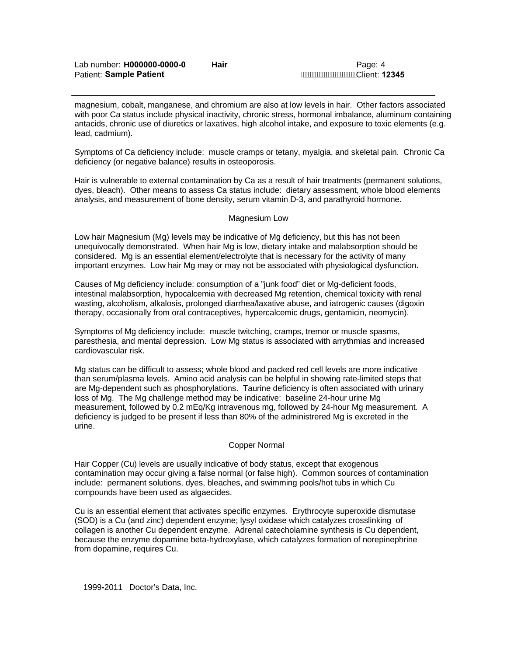magnesium, cobalt, manganese, and chromium are also at low levels in hair. Other factors associated with poor Ca status include physical inactivity, chronic stress, hormonal imbalance, aluminum containing antacids, chronic use of diuretics or laxatives, high alcohol intake, and exposure to toxic elements (e.g. lead, cadmium).

Symptoms of Ca deficiency include: muscle cramps or tetany, myalgia, and skeletal pain. Chronic Ca deficiency (or negative balance) results in osteoporosis.

Hair is vulnerable to external contamination by Ca as a result of hair treatments (permanent solutions, dyes, bleach). Other means to assess Ca status include: dietary assessment, whole blood elements analysis, and measurement of bone density, serum vitamin D-3, and parathyroid hormone.

## Magnesium Low

Low hair Magnesium (Mg) levels may be indicative of Mg deficiency, but this has not been unequivocally demonstrated. When hair Mg is low, dietary intake and malabsorption should be considered. Mg is an essential element/electrolyte that is necessary for the activity of many important enzymes. Low hair Mg may or may not be associated with physiological dysfunction.

Causes of Mg deficiency include: consumption of a "junk food" diet or Mg-deficient foods, intestinal malabsorption, hypocalcemia with decreased Mg retention, chemical toxicity with renal wasting, alcoholism, alkalosis, prolonged diarrhea/laxative abuse, and iatrogenic causes (digoxin therapy, occasionally from oral contraceptives, hypercalcemic drugs, gentamicin, neomycin).

Symptoms of Mg deficiency include: muscle twitching, cramps, tremor or muscle spasms, paresthesia, and mental depression. Low Mg status is associated with arrythmias and increased cardiovascular risk.

Mg status can be difficult to assess; whole blood and packed red cell levels are more indicative than serum/plasma levels. Amino acid analysis can be helpful in showing rate-limited steps that are Mg-dependent such as phosphorylations. Taurine deficiency is often associated with urinary loss of Mg. The Mg challenge method may be indicative: baseline 24-hour urine Mg measurement, followed by 0.2 mEq/Kg intravenous mg, followed by 24-hour Mg measurement. A deficiency is judged to be present if less than 80% of the administrered Mg is excreted in the urine.

## Copper Normal

Hair Copper (Cu) levels are usually indicative of body status, except that exogenous contamination may occur giving a false normal (or false high). Common sources of contamination include: permanent solutions, dyes, bleaches, and swimming pools/hot tubs in which Cu compounds have been used as algaecides.

Cu is an essential element that activates specific enzymes. Erythrocyte superoxide dismutase (SOD) is a Cu (and zinc) dependent enzyme; lysyl oxidase which catalyzes crosslinking of collagen is another Cu dependent enzyme. Adrenal catecholamine synthesis is Cu dependent, because the enzyme dopamine beta-hydroxylase, which catalyzes formation of norepinephrine from dopamine, requires Cu.